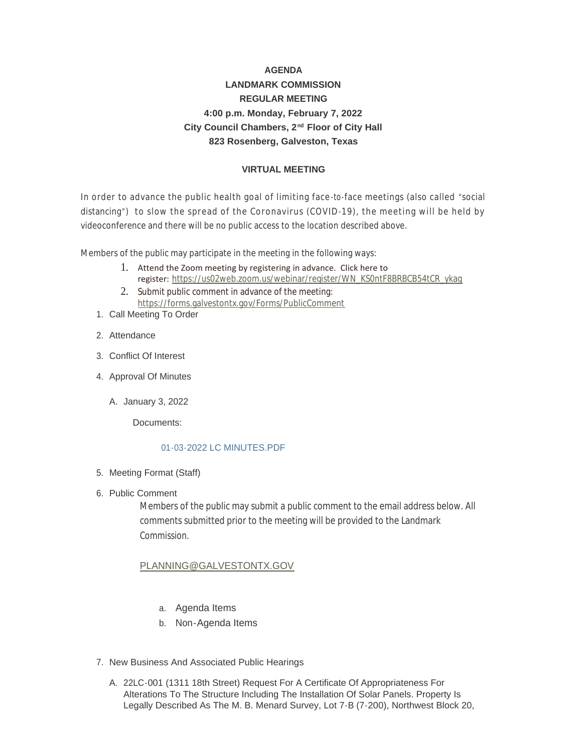# **AGENDA LANDMARK COMMISSION REGULAR MEETING 4:00 p.m. Monday, February 7, 2022** City Council Chambers, 2<sup>nd</sup> Floor of City Hall **823 Rosenberg, Galveston, Texas**

## **VIRTUAL MEETING**

In order to advance the public health goal of limiting face -to-face meetings (also called "social distancing") to slow the spread of the Coronavirus (COVID-19), the meeting will be held by videoconference and there will be no public access to the location described above.

Members of the public may participate in the meeting in the following ways:

- 1. Attend the Zoom meeting by registering in advance. Click here to register: [https://us02web.zoom.us/webinar/register/WN\\_KS0ntF8BRBCB54tCR\\_ykag](https://us02web.zoom.us/webinar/register/WN_KS0ntF8BRBCB54tCR_ykag)
- 2. Submit public comment in advance of the meeting: <https://forms.galvestontx.gov/Forms/PublicComment>
- 1. Call Meeting To Order
- 2. Attendance
- Conflict Of Interest 3.
- 4. Approval Of Minutes
	- A. January 3, 2022

Documents:

#### [01-03-2022 LC MINUTES.PDF](https://www.galvestontx.gov/AgendaCenter/ViewFile/Item/13669?fileID=31923)

- 5. Meeting Format (Staff)
- 6. Public Comment

Members of the public may submit a public comment to the email address below. All comments submitted prior to the meeting will be provided to the Landmark **Commission** 

# [PLANNING@GALVESTONTX.GOV](mailto:Planning@Galvestontx.gov)

- a. Agenda Items
- b. Non-Agenda Items
- 7. New Business And Associated Public Hearings
	- A. 22LC-001 (1311 18th Street) Request For A Certificate Of Appropriateness For Alterations To The Structure Including The Installation Of Solar Panels. Property Is Legally Described As The M. B. Menard Survey, Lot 7-B (7-200), Northwest Block 20,